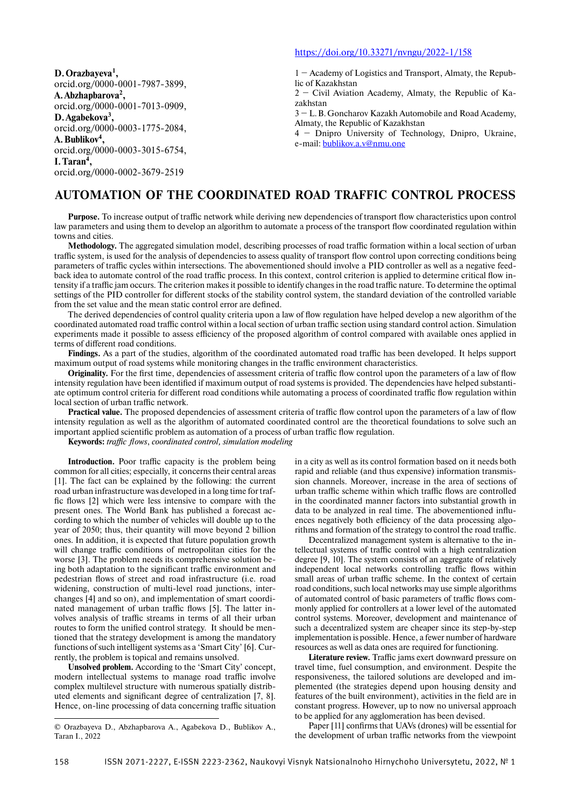**D. Orazbayeva1 ,** orcid.org/0000-0001-7987-3899, **A. Abzhapbarova2 ,** orcid.org/0000-0001-7013-0909, **D. Agabekova3 ,** orcid.org/0000-0003-1775-2084, **A. Bublikov4 ,** orcid.org/0000-0003-3015-6754, **I. Taran4 ,**

### orcid.org/0000-0002-3679-2519

## https://doi.org/10.33271/nvngu/2022-1/158

1 − Academy of Logistics and Transport, Almaty, the Republic of Kazakhstan

2 − Civil Aviation Academy, Almaty, the Republic of Kazakhstan

3 − L. B. Goncharov Kazakh Automobile and Road Academy, Almaty, the Republic of Kazakhstan

4 − Dnipro University of Technology, Dnipro, Ukraine, e-mail: bublikov.a.v@nmu.one

# **AUTOMATION OF THE COORDINATED ROAD TRAFFIC CONTROL PROCESS**

**Purpose.** To increase output of traffic network while deriving new dependencies of transport flow characteristics upon control law parameters and using them to develop an algorithm to automate a process of the transport flow coordinated regulation within towns and cities.

Methodology. The aggregated simulation model, describing processes of road traffic formation within a local section of urban traffic system, is used for the analysis of dependencies to assess quality of transport flow control upon correcting conditions being parameters of traffic cycles within intersections. The abovementioned should involve a PID controller as well as a negative feedback idea to automate control of the road traffic process. In this context, control criterion is applied to determine critical flow intensity if a traffic jam occurs. The criterion makes it possible to identify changes in the road traffic nature. To determine the optimal settings of the PID controller for different stocks of the stability control system, the standard deviation of the controlled variable from the set value and the mean static control error are defined.

The derived dependencies of control quality criteria upon a law of flow regulation have helped develop a new algorithm of the coordinated automated road traffic control within a local section of urban traffic section using standard control action. Simulation experiments made it possible to assess efficiency of the proposed algorithm of control compared with available ones applied in terms of different road conditions.

**Findings.** As a part of the studies, algorithm of the coordinated automated road traffic has been developed. It helps support maximum output of road systems while monitoring changes in the traffic environment characteristics.

**Originality.** For the first time, dependencies of assessment criteria of traffic flow control upon the parameters of a law of flow intensity regulation have been identified if maximum output of road systems is provided. The dependencies have helped substantiate optimum control criteria for different road conditions while automating a process of coordinated traffic flow regulation within local section of urban traffic network.

**Practical value.** The proposed dependencies of assessment criteria of traffic flow control upon the parameters of a law of flow intensity regulation as well as the algorithm of automated coordinated control are the theoretical foundations to solve such an important applied scientific problem as automation of a process of urban traffic flow regulation.

Keywords: traffic flows, coordinated control, simulation modeling

**Introduction.** Poor traffic capacity is the problem being common for all cities; especially, it concerns their central areas [1]. The fact can be explained by the following: the current road urban infrastructure was developed in a long time for traffic flows [2] which were less intensive to compare with the present ones. The World Bank has published a forecast according to which the number of vehicles will double up to the year of 2050; thus, their quantity will move beyond 2 billion ones. In addition, it is expected that future population growth will change traffic conditions of metropolitan cities for the worse [3]. The problem needs its comprehensive solution being both adaptation to the significant traffic environment and pedestrian flows of street and road infrastructure (i.e. road widening, construction of multi-level road junctions, interchanges [4] and so on), and implementation of smart coordinated management of urban traffic flows [5]. The latter involves analysis of traffic streams in terms of all their urban routes to form the unified control strategy. It should be mentioned that the strategy development is among the mandatory functions of such intelligent systems as a 'Smart City' [6]. Currently, the problem is topical and remains unsolved.

**Unsolved problem.** According to the 'Smart City' concept, modern intellectual systems to manage road traffic involve complex multilevel structure with numerous spatially distributed elements and significant degree of centralization [7, 8]. Hence, on-line processing of data concerning traffic situation

in a city as well as its control formation based on it needs both rapid and reliable (and thus expensive) information transmission channels. Moreover, increase in the area of sections of urban traffic scheme within which traffic flows are controlled in the coordinated manner factors into substantial growth in data to be analyzed in real time. The abovementioned influences negatively both efficiency of the data processing algorithms and formation of the strategy to control the road traffic.

Decentralized management system is alternative to the intellectual systems of traffic control with a high centralization degree [9, 10]. The system consists of an aggregate of relatively independent local networks controlling traffic flows within small areas of urban traffic scheme. In the context of certain road conditions, such local networks may use simple algorithms of automated control of basic parameters of traffic flows commonly applied for controllers at a lower level of the automated control systems. Moreover, development and maintenance of such a decentralized system are cheaper since its step-by-step implementation is possible. Hence, a fewer number of hardware resources as well as data ones are required for functioning.

Literature review. Traffic jams exert downward pressure on travel time, fuel consumption, and environment. Despite the responsiveness, the tailored solutions are developed and implemented (the strategies depend upon housing density and features of the built environment), activities in the field are in constant progress. However, up to now no universal approach to be applied for any agglomeration has been devised.

Paper [11] confirms that UAVs (drones) will be essential for the development of urban traffic networks from the viewpoint

<sup>©</sup> Orazbayeva D., Abzhapbarova A., Agabekova D., Bublikov A., Taran I., 2022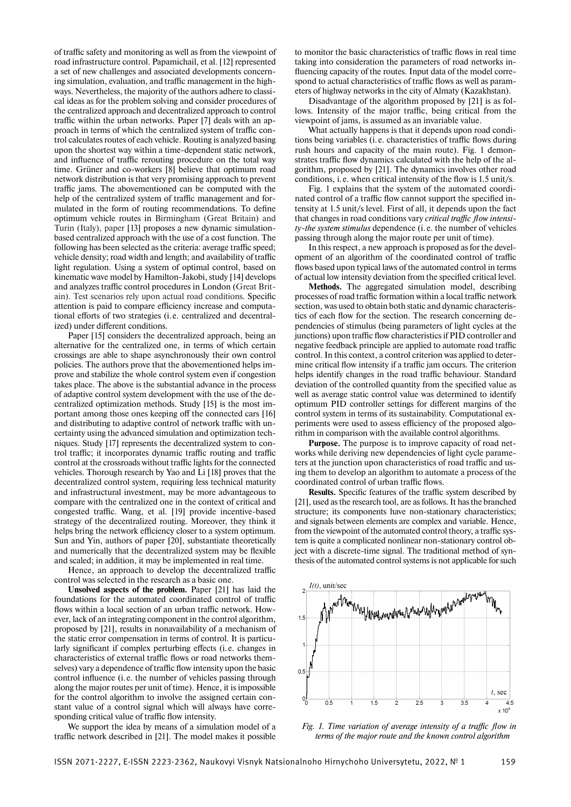of traffic safety and monitoring as well as from the viewpoint of road infrastructure control. Papamichail, et al. [12] represented a set of new challenges and associated developments concerning simulation, evaluation, and traffic management in the highways. Nevertheless, the majority of the authors adhere to classical ideas as for the problem solving and consider procedures of the centralized approach and decentralized approach to control traffic within the urban networks. Paper [7] deals with an approach in terms of which the centralized system of traffic control calculates routes of each vehicle. Routing is analyzed basing upon the shortest way within a time-dependent static network, and influence of traffic rerouting procedure on the total way time. Grüner and co-workers [8] believe that optimum road network distribution is that very promising approach to prevent traffic jams. The abovementioned can be computed with the help of the centralized system of traffic management and formulated in the form of routing recommendations. To define optimum vehicle routes in Birmingham (Great Britain) and Turin (Italy), paper [13] proposes a new dynamic simulationbased centralized approach with the use of a cost function. The following has been selected as the criteria: average traffic speed; vehicle density; road width and length; and availability of traffic light regulation. Using a system of optimal control, based on kinematic wave model by Hamilton-Jakobi, study [14] develops and analyzes traffic control procedures in London (Great Britain). Test scenarios rely upon actual road conditions. Specific attention is paid to compare efficiency increase and computational efforts of two strategies (i.e. centralized and decentralized) under different conditions.

Paper [15] considers the decentralized approach, being an alternative for the centralized one, in terms of which certain crossings are able to shape asynchronously their own control policies. The authors prove that the abovementioned helps improve and stabilize the whole control system even if congestion takes place. The above is the substantial advance in the process of adaptive control system development with the use of the decentralized optimization methods. Study [15] is the most important among those ones keeping off the connected cars [16] and distributing to adaptive control of network traffic with uncertainty using the advanced simulation and optimization techniques. Study [17] represents the decentralized system to control traffic; it incorporates dynamic traffic routing and traffic control at the crossroads without traffic lights for the connected vehicles. Thorough research by Yao and Li [18] proves that the decentralized control system, requiring less technical maturity and infrastructural investment, may be more advantageous to compare with the centralized one in the context of critical and congested traffic. Wang, et al. [19] provide incentive-based strategy of the decentralized routing. Moreover, they think it helps bring the network efficiency closer to a system optimum. Sun and Yin, authors of paper [20], substantiate theoretically and numerically that the decentralized system may be flexible and scaled; in addition, it may be implemented in real time.

Hence, an approach to develop the decentralized traffic control was selected in the research as a basic one.

**Unsolved aspects of the problem.** Paper [21] has laid the foundations for the automated coordinated control of traffic flows within a local section of an urban traffic network. However, lack of an integrating component in the control algorithm, proposed by [21], results in nonavailability of a mechanism of the static error compensation in terms of control. It is particularly significant if complex perturbing effects (i.e. changes in characteristics of external traffic flows or road networks themselves) vary a dependence of traffic flow intensity upon the basic control influence (i.e. the number of vehicles passing through along the major routes per unit of time). Hence, it is impossible for the control algorithm to involve the assigned certain constant value of a control signal which will always have corresponding critical value of traffic flow intensity.

We support the idea by means of a simulation model of a traffic network described in [21]. The model makes it possible

to monitor the basic characteristics of traffic flows in real time taking into consideration the parameters of road networks influencing capacity of the routes. Input data of the model correspond to actual characteristics of traffic flows as well as parameters of highway networks in the city of Almaty (Kazakhstan).

Disadvantage of the algorithm proposed by [21] is as follows. Intensity of the major traffic, being critical from the viewpoint of jams, is assumed as an invariable value.

What actually happens is that it depends upon road conditions being variables (*i.e.* characteristics of traffic flows during rush hours and capacity of the main route). Fig. 1 demonstrates traffic flow dynamics calculated with the help of the algorithm, proposed by [21]. The dynamics involves other road conditions, i.e. when critical intensity of the flow is 1.5 unit/s.

Fig. 1 explains that the system of the automated coordinated control of a traffic flow cannot support the specified intensity at 1.5 unit/s level. First of all, it depends upon the fact that changes in road conditions vary *critical traffic flow intensity-the system stimulus* dependence (i. e. the number of vehicles passing through along the major route per unit of time).

In this respect, a new approach is proposed as for the development of an algorithm of the coordinated control of traffic flows based upon typical laws of the automated control in terms of actual low intensity deviation from the specified critical level.

**Methods.** The aggregated simulation model, describing processes of road traffic formation within a local traffic network section, was used to obtain both static and dynamic characteristics of each flow for the section. The research concerning dependencies of stimulus (being parameters of light cycles at the junctions) upon traffic flow characteristics if PID controller and negative feedback principle are applied to automate road traffic control. In this context, a control criterion was applied to determine critical flow intensity if a traffic jam occurs. The criterion helps identify changes in the road traffic behaviour. Standard deviation of the controlled quantity from the specified value as well as average static control value was determined to identify optimum PID controller settings for different margins of the control system in terms of its sustainability. Computational experiments were used to assess efficiency of the proposed algorithm in comparison with the available control algorithms.

**Purpose.** The purpose is to improve capacity of road networks while deriving new dependencies of light cycle parameters at the junction upon characteristics of road traffic and using them to develop an algorithm to automate a process of the coordinated control of urban traffic flows.

**Results.** Specific features of the traffic system described by [21], used as the research tool, are as follows. It has the branched structure; its components have non-stationary characteristics; and signals between elements are complex and variable. Hence, from the viewpoint of the automated control theory, a traffic system is quite a complicated nonlinear non-stationary control object with a discrete-time signal. The traditional method of synthesis of the automated control systems is not applicable for such



*Fig. 1. Time variation of average intensity of a traffic flow in terms of the major route and the known control algorithm*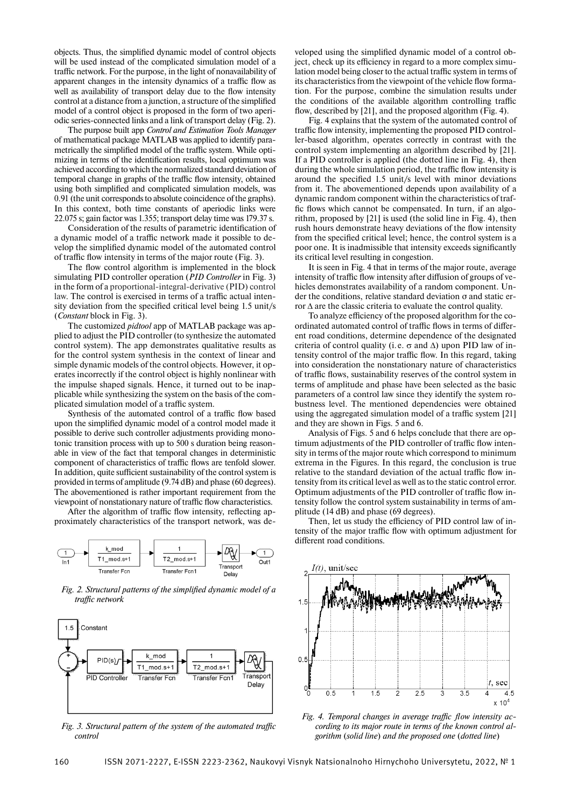objects. Thus, the simplified dynamic model of control objects will be used instead of the complicated simulation model of a traffic network. For the purpose, in the light of nonavailability of apparent changes in the intensity dynamics of a traffic flow as well as availability of transport delay due to the flow intensity control at a distance from a junction, a structure of the simplified model of a control object is proposed in the form of two aperiodic series-connected links and a link of transport delay (Fig. 2).

The purpose built app *Control and Estimation Tools Manager* of mathematical package MATLAB was applied to identify parametrically the simplified model of the traffic system. While optimizing in terms of the identification results, local optimum was achieved according to which the normalized standard deviation of temporal change in graphs of the traffic flow intensity, obtained using both simplified and complicated simulation models, was 0.91 (the unit corresponds to absolute coincidence of the graphs). In this context, both time constants of aperiodic links were 22.075 s; gain factor was 1.355; transport delay time was 179.37 s.

Consideration of the results of parametric identification of a dynamic model of a traffic network made it possible to develop the simplified dynamic model of the automated control of traffic flow intensity in terms of the major route (Fig. 3).

The flow control algorithm is implemented in the block simulating PID controller operation (*PID Controller* in Fig. 3) in the form of a proportional-integral-derivative (PID) control law. The control is exercised in terms of a traffic actual intensity deviation from the specified critical level being 1.5 unit/s (*Constant* block in Fig. 3).

The customized *pidtool* app of MATLAB package was applied to adjust the PID controller (to synthesize the automated control system). The app demonstrates qualitative results as for the control system synthesis in the context of linear and simple dynamic models of the control objects. However, it operates incorrectly if the control object is highly nonlinear with the impulse shaped signals. Hence, it turned out to be inapplicable while synthesizing the system on the basis of the complicated simulation model of a traffic system.

Synthesis of the automated control of a traffic flow based upon the simplified dynamic model of a control model made it possible to derive such controller adjustments providing monotonic transition process with up to 500 s duration being reasonable in view of the fact that temporal changes in deterministic component of characteristics of traffic flows are tenfold slower. In addition, quite sufficient sustainability of the control system is provided in terms of amplitude (9.74 dB) and phase (60 degrees). The abovementioned is rather important requirement from the viewpoint of nonstationary nature of traffic flow characteristics.

After the algorithm of traffic flow intensity, reflecting approximately characteristics of the transport network, was de-



Fig. 2. Structural patterns of the simplified dynamic model of a traffic network



Fig. 3. Structural pattern of the system of the automated traffic *control*

veloped using the simplified dynamic model of a control object, check up its efficiency in regard to a more complex simulation model being closer to the actual traffic system in terms of its characteristics from the viewpoint of the vehicle flow formation. For the purpose, combine the simulation results under the conditions of the available algorithm controlling traffic flow, described by [21], and the proposed algorithm (Fig. 4).

Fig. 4 explains that the system of the automated control of traffic flow intensity, implementing the proposed PID controller-based algorithm, operates correctly in contrast with the control system implementing an algorithm described by [21]. If a PID controller is applied (the dotted line in Fig. 4), then during the whole simulation period, the traffic flow intensity is around the specified 1.5 unit/s level with minor deviations from it. The abovementioned depends upon availability of a dynamic random component within the characteristics of traffic flows which cannot be compensated. In turn, if an algorithm, proposed by [21] is used (the solid line in Fig. 4), then rush hours demonstrate heavy deviations of the flow intensity from the specified critical level; hence, the control system is a poor one. It is inadmissible that intensity exceeds significantly its critical level resulting in congestion.

It is seen in Fig. 4 that in terms of the major route, average intensity of traffic flow intensity after diffusion of groups of vehicles demonstrates availability of a random component. Under the conditions, relative standard deviation σ and static error  $\Delta$  are the classic criteria to evaluate the control quality.

To analyze efficiency of the proposed algorithm for the coordinated automated control of traffic flows in terms of different road conditions, determine dependence of the designated criteria of control quality (i.e.  $\sigma$  and  $\Delta$ ) upon PID law of intensity control of the major traffic flow. In this regard, taking into consideration the nonstationary nature of characteristics of traffic flows, sustainability reserves of the control system in terms of amplitude and phase have been selected as the basic parameters of a control law since they identify the system robustness level. The mentioned dependencies were obtained using the aggregated simulation model of a traffic system [21] and they are shown in Figs. 5 and 6.

Analysis of Figs. 5 and 6 helps conclude that there are optimum adjustments of the PID controller of traffic flow intensity in terms of the major route which correspond to minimum extrema in the Figures. In this regard, the conclusion is true relative to the standard deviation of the actual traffic flow intensity from its critical level as well as to the static control error. Optimum adjustments of the PID controller of traffic flow intensity follow the control system sustainability in terms of amplitude (14 dB) and phase (69 degrees).

Then, let us study the efficiency of PID control law of intensity of the major traffic flow with optimum adjustment for different road conditions.



Fig. 4. Temporal changes in average traffic flow intensity ac*cording to its major route in terms of the known control algorithm* (*solid line*) *and the proposed one* (*dotted line*)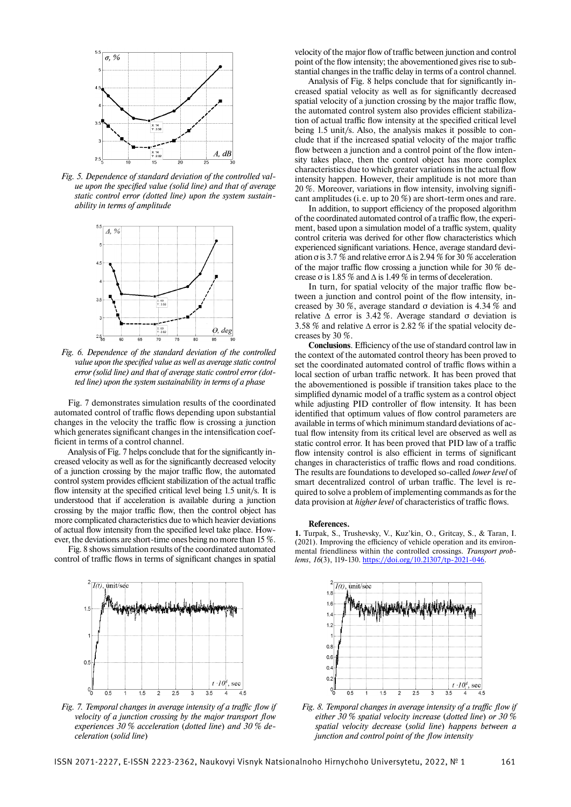

*Fig. 5. Dependence of standard deviation of the controlled value upon the specified value (solid line) and that of average static control error (dotted line) upon the system sustainability in terms of amplitude*



*Fig. 6. Dependence of the standard deviation of the controlled value upon the specified value as well as average static control error (solid line) and that of average static control error (dotted line) upon the system sustainability in terms of a phase*

Fig. 7 demonstrates simulation results of the coordinated automated control of traffic flows depending upon substantial changes in the velocity the traffic flow is crossing a junction which generates significant changes in the intensification coefficient in terms of a control channel.

Analysis of Fig. 7 helps conclude that for the significantly increased velocity as well as for the significantly decreased velocity of a junction crossing by the major traffic flow, the automated control system provides efficient stabilization of the actual traffic flow intensity at the specified critical level being 1.5 unit/s. It is understood that if acceleration is available during a junction crossing by the major traffic flow, then the control object has more complicated characteristics due to which heavier deviations of actual flow intensity from the specified level take place. However, the deviations are short-time ones being no more than 15 %.

Fig. 8 shows simulation results of the coordinated automated control of traffic flows in terms of significant changes in spatial



Fig. 7. Temporal changes in average intensity of a traffic flow if *velocity of a junction crossing by the major transport flow experiences 30 % acceleration* (*dotted line*) *and 30 % deceleration* (*solid line*)

velocity of the major flow of traffic between junction and control point of the flow intensity; the abovementioned gives rise to substantial changes in the traffic delay in terms of a control channel.

Analysis of Fig. 8 helps conclude that for significantly increased spatial velocity as well as for significantly decreased spatial velocity of a junction crossing by the major traffic flow, the automated control system also provides efficient stabilization of actual traffic flow intensity at the specified critical level being 1.5 unit/s. Also, the analysis makes it possible to conclude that if the increased spatial velocity of the major traffic flow between a junction and a control point of the flow intensity takes place, then the control object has more complex characteristics due to which greater variations in the actual flow intensity happen. However, their amplitude is not more than  $20\%$ . Moreover, variations in flow intensity, involving significant amplitudes (i. e. up to 20 %) are short-term ones and rare.

In addition, to support efficiency of the proposed algorithm of the coordinated automated control of a traffic flow, the experiment, based upon a simulation model of a traffic system, quality control criteria was derived for other flow characteristics which experienced significant variations. Hence, average standard deviation  $\sigma$  is 3.7 % and relative error  $\Delta$  is 2.94 % for 30 % acceleration of the major traffic flow crossing a junction while for 30  $\%$  decrease  $\sigma$  is 1.85 % and  $\Delta$  is 1.49 % in terms of deceleration.

In turn, for spatial velocity of the major traffic flow between a junction and control point of the flow intensity, increased by 30 %, average standard σ deviation is 4.34 % and relative  $\Delta$  error is 3.42 %. Average standard σ deviation is 3.58 % and relative  $\triangle$  error is 2.82 % if the spatial velocity decreases by 30 %.

**Conclusions**. Efficiency of the use of standard control law in the context of the automated control theory has been proved to set the coordinated automated control of traffic flows within a local section of urban traffic network. It has been proved that the abovementioned is possible if transition takes place to the simplified dynamic model of a traffic system as a control object while adjusting PID controller of flow intensity. It has been identified that optimum values of flow control parameters are available in terms of which minimum standard deviations of actual flow intensity from its critical level are observed as well as static control error. It has been proved that PID law of a traffic flow intensity control is also efficient in terms of significant changes in characteristics of traffic flows and road conditions. The results are foundations to developed so-called *lower level* of smart decentralized control of urban traffic. The level is required to solve a problem of implementing commands as for the data provision at *higher level* of characteristics of traffic flows.

#### **References.**

**1.** Turpak, S., Trushevsky, V., Kuz'kin, O., Gritcay, S., & Taran, I.  $(2021)$ . Improving the efficiency of vehicle operation and its environmental friendliness within the controlled crossings. *Transport problems*, *16*(3), 119-130. https://doi.org/10.21307/tp-2021-046.



Fig. 8. Temporal changes in average intensity of a traffic flow if *either 30 % spatial velocity increase* (*dotted line*) *or 30 % spatial velocity decrease* (*solid line*) *happens between a junction and control point of the flow intensity*